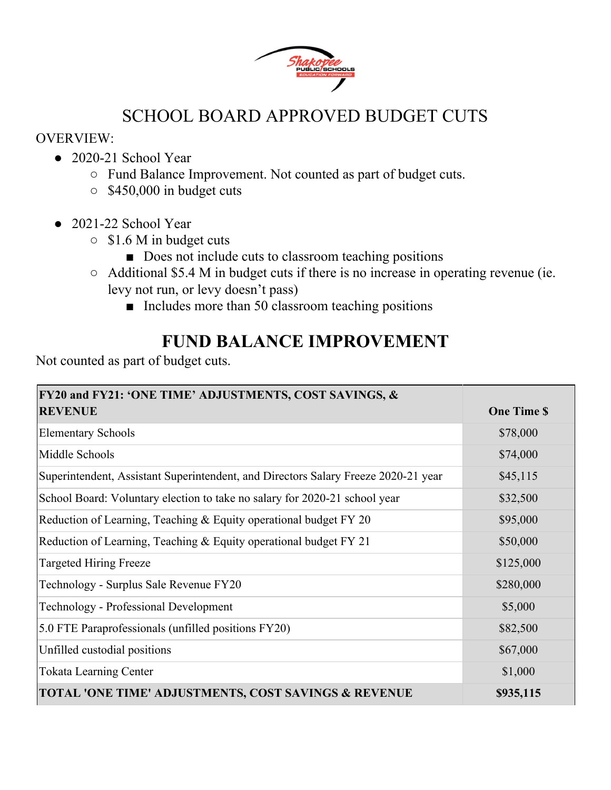

#### SCHOOL BOARD APPROVED BUDGET CUTS

#### OVERVIEW:

- 2020-21 School Year
	- Fund Balance Improvement. Not counted as part of budget cuts.
	- $\circ$  \$450,000 in budget cuts
- 2021-22 School Year
	- \$1.6 M in budget cuts
		- Does not include cuts to classroom teaching positions
	- Additional \$5.4 M in budget cuts if there is no increase in operating revenue (ie. levy not run, or levy doesn't pass)
		- Includes more than 50 classroom teaching positions

#### **FUND BALANCE IMPROVEMENT**

Not counted as part of budget cuts.

| <b>FY20 and FY21: 'ONE TIME' ADJUSTMENTS, COST SAVINGS, &amp;</b>                  |                   |
|------------------------------------------------------------------------------------|-------------------|
| <b>REVENUE</b>                                                                     | <b>One Time S</b> |
| <b>Elementary Schools</b>                                                          | \$78,000          |
| Middle Schools                                                                     | \$74,000          |
| Superintendent, Assistant Superintendent, and Directors Salary Freeze 2020-21 year | \$45,115          |
| School Board: Voluntary election to take no salary for 2020-21 school year         | \$32,500          |
| Reduction of Learning, Teaching & Equity operational budget FY 20                  | \$95,000          |
| Reduction of Learning, Teaching & Equity operational budget FY 21                  | \$50,000          |
| <b>Targeted Hiring Freeze</b>                                                      | \$125,000         |
| Technology - Surplus Sale Revenue FY20                                             | \$280,000         |
| <b>Technology - Professional Development</b>                                       | \$5,000           |
| 5.0 FTE Paraprofessionals (unfilled positions FY20)                                | \$82,500          |
| Unfilled custodial positions                                                       | \$67,000          |
| <b>Tokata Learning Center</b>                                                      | \$1,000           |
| TOTAL 'ONE TIME' ADJUSTMENTS, COST SAVINGS & REVENUE                               | \$935,115         |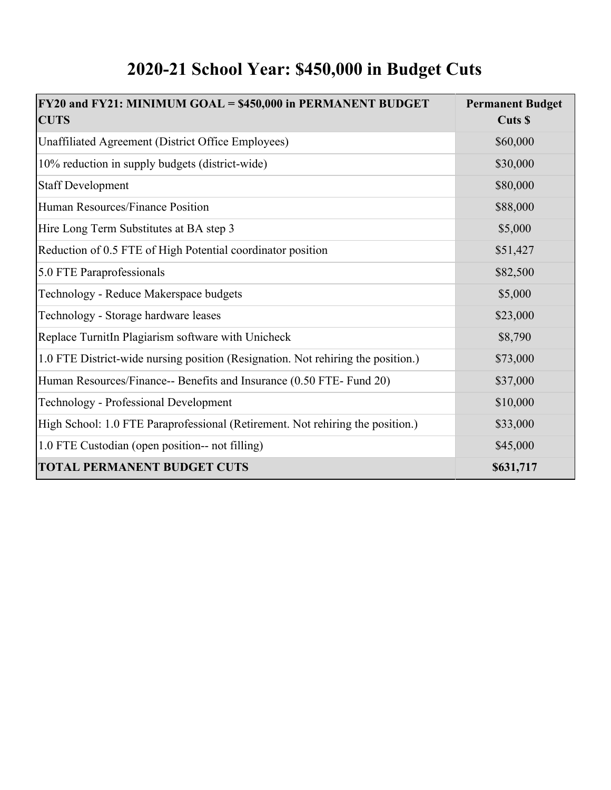### **2020-21 School Year: \$450,000 in Budget Cuts**

| FY20 and FY21: MINIMUM GOAL = \$450,000 in PERMANENT BUDGET<br><b>CUTS</b>       | <b>Permanent Budget</b><br>Cuts \$ |
|----------------------------------------------------------------------------------|------------------------------------|
| Unaffiliated Agreement (District Office Employees)                               | \$60,000                           |
| 10% reduction in supply budgets (district-wide)                                  | \$30,000                           |
| <b>Staff Development</b>                                                         | \$80,000                           |
| Human Resources/Finance Position                                                 | \$88,000                           |
| Hire Long Term Substitutes at BA step 3                                          | \$5,000                            |
| Reduction of 0.5 FTE of High Potential coordinator position                      | \$51,427                           |
| 5.0 FTE Paraprofessionals                                                        | \$82,500                           |
| Technology - Reduce Makerspace budgets                                           | \$5,000                            |
| Technology - Storage hardware leases                                             | \$23,000                           |
| Replace TurnitIn Plagiarism software with Unicheck                               | \$8,790                            |
| 1.0 FTE District-wide nursing position (Resignation. Not rehiring the position.) | \$73,000                           |
| Human Resources/Finance-- Benefits and Insurance (0.50 FTE- Fund 20)             | \$37,000                           |
| <b>Technology - Professional Development</b>                                     | \$10,000                           |
| High School: 1.0 FTE Paraprofessional (Retirement. Not rehiring the position.)   | \$33,000                           |
| 1.0 FTE Custodian (open position-- not filling)                                  | \$45,000                           |
| <b>TOTAL PERMANENT BUDGET CUTS</b>                                               | \$631,717                          |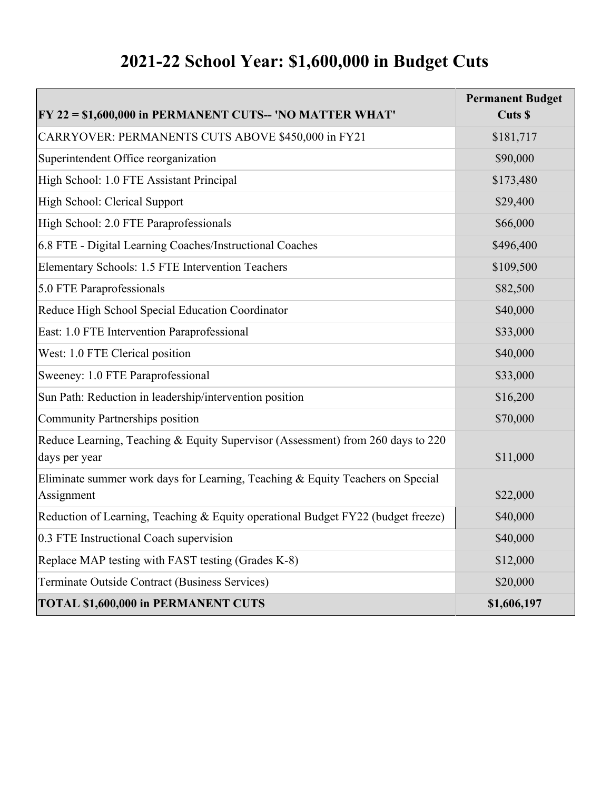## **2021-22 School Year: \$1,600,000 in Budget Cuts**

| $ FY 22 = $1,600,000$ in PERMANENT CUTS-- 'NO MATTER WHAT'                                       | <b>Permanent Budget</b><br>Cuts \$ |
|--------------------------------------------------------------------------------------------------|------------------------------------|
| CARRYOVER: PERMANENTS CUTS ABOVE \$450,000 in FY21                                               | \$181,717                          |
| Superintendent Office reorganization                                                             | \$90,000                           |
| High School: 1.0 FTE Assistant Principal                                                         | \$173,480                          |
| High School: Clerical Support                                                                    | \$29,400                           |
| High School: 2.0 FTE Paraprofessionals                                                           | \$66,000                           |
| 6.8 FTE - Digital Learning Coaches/Instructional Coaches                                         | \$496,400                          |
| Elementary Schools: 1.5 FTE Intervention Teachers                                                | \$109,500                          |
| 5.0 FTE Paraprofessionals                                                                        | \$82,500                           |
| Reduce High School Special Education Coordinator                                                 | \$40,000                           |
| East: 1.0 FTE Intervention Paraprofessional                                                      | \$33,000                           |
| West: 1.0 FTE Clerical position                                                                  | \$40,000                           |
| Sweeney: 1.0 FTE Paraprofessional                                                                | \$33,000                           |
| Sun Path: Reduction in leadership/intervention position                                          | \$16,200                           |
| Community Partnerships position                                                                  | \$70,000                           |
| Reduce Learning, Teaching & Equity Supervisor (Assessment) from 260 days to 220<br>days per year | \$11,000                           |
| Eliminate summer work days for Learning, Teaching & Equity Teachers on Special<br>Assignment     | \$22,000                           |
| Reduction of Learning, Teaching & Equity operational Budget FY22 (budget freeze)                 | \$40,000                           |
| 0.3 FTE Instructional Coach supervision                                                          | \$40,000                           |
| Replace MAP testing with FAST testing (Grades K-8)                                               | \$12,000                           |
| Terminate Outside Contract (Business Services)                                                   | \$20,000                           |
| <b>TOTAL \$1,600,000 in PERMANENT CUTS</b>                                                       | \$1,606,197                        |